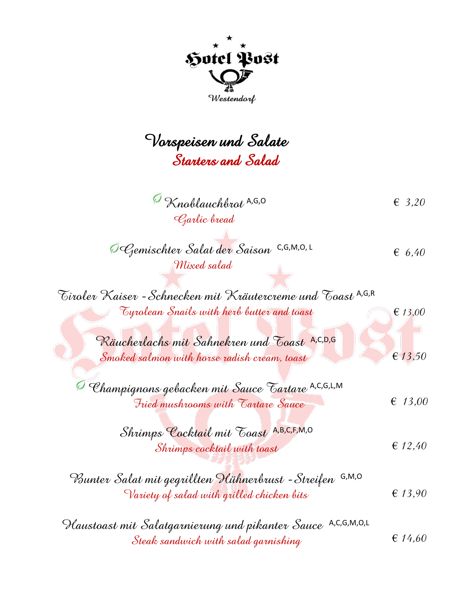

*Vorspeisen und Salate Starters and Salad* 

*Knoblauchbrot* A,G,O  *Garlic bread* € *3,20*

€ *13,50*

٦

| O Gemischter Salat der Saison C,G,M,O,L | $\epsilon$ 6.40 |
|-----------------------------------------|-----------------|
| Mixed salad                             |                 |

 $\overline{\phantom{a}}$ 

| Tiroler Kaiser - Schnecken mit Kräutercreme und Toast <sup>A,G,R</sup> |                                            |                  |
|------------------------------------------------------------------------|--------------------------------------------|------------------|
|                                                                        | Eyrolean Snails with herb butter and toast | $\epsilon$ 13.00 |

|  | Räucherlachs mit Sahnekren und Taast A,C,D,G |  |  |  |
|--|----------------------------------------------|--|--|--|
|  | Smoked salmon with horse radish cream, toast |  |  |  |

| D Champignons gebacken mit Sauce Eartare A,C,G,L,M |                  |
|----------------------------------------------------|------------------|
| Fried mushrooms with Tartare Sauce                 | $\epsilon$ 13.00 |

| Shrimps Cacktail mit Toast A,B,C,F,M,O |                  |
|----------------------------------------|------------------|
| Shrimps cocktail with toast            | $\epsilon$ 12.40 |

| Bunter Salat mit gegrillten Vlühnerbrust - Streifen G,M,0 |                  |
|-----------------------------------------------------------|------------------|
| Variety of salad with grilled chicken bits                | $\epsilon$ 13,90 |

| Haustoast mit Salatgarnierung und pikanter Sauce A,C,G,M,O,L |                  |
|--------------------------------------------------------------|------------------|
| Steak sandwich with salad garnishing                         | $\epsilon$ 14.60 |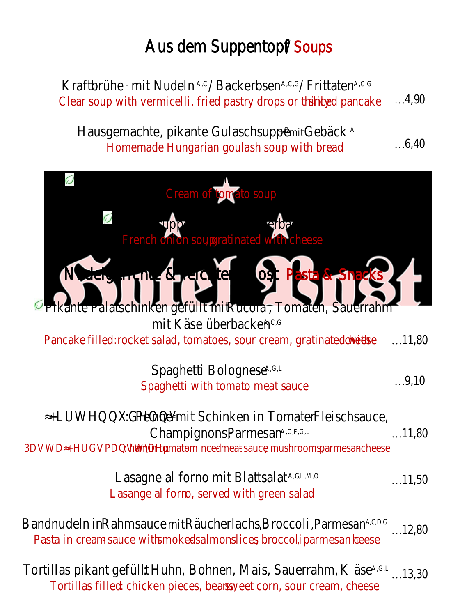## Aus dem Suppentopsbups

| Kraftbrühemit Nudeln <sup>c</sup> /Backerbsen <sup>c</sup> /Frittatem<br>Clear soup with vermicelli, fried pastry dropsliced high cake                    | 4,90  |
|-----------------------------------------------------------------------------------------------------------------------------------------------------------|-------|
| Hausgemachte, pikante Gulaschsumpebäck <sup>A</sup><br>Homemade Hungarian goulash soup with bread                                                         | 6,40  |
| <b>J</b> Tomatencremesuppgarniert mit Weißbrotwürfel<br>Cream of tomato soup                                                                              | 5,60  |
| Zwiebelsuppe mit Käse überbacken<br>French onion sparatinated with cheese                                                                                 | 6,20  |
| Nudelgerichte & leichtere KoBasta & Snacks                                                                                                                |       |
| Pikante Palatschinkerefüllt mRucola, Tomaten, Sauerrahm<br>mit Käseüberbackerf<br>Pancakefilled:rocket salad, tomatoes, sour cream, gradineetsed with, 80 |       |
| Spaghetti Bolognese<br>Spaghetti with tomato meat sauce                                                                                                   | 9,10  |
| : Penne mit Schinken in Tomaftlerischsauce,<br>Champignon Barmesan F.G.L<br>: hamin tomatmincedmeatsaucemushroomparmesanheese                             | 11,80 |
| Lasagne al forno mitattsalatumo<br>Lasange al fom served with green salad                                                                                 | 11,50 |
| BandnudelrinRahmsaucങeitRäucherlachBroccoli,Parmesañ <sup>c,d,G</sup><br>Pasta in creassauce wish okedalmors lices broccoliparmes a hease                 | 12,80 |
| Tortillas pikant gefülltuhn, Bohnen, Mais, Sauerrahl⁄näse <sup>.c. L</sup>                                                                                | 13,30 |

Tortillas filledchicken pieces, beanset corn, sour cream, cheese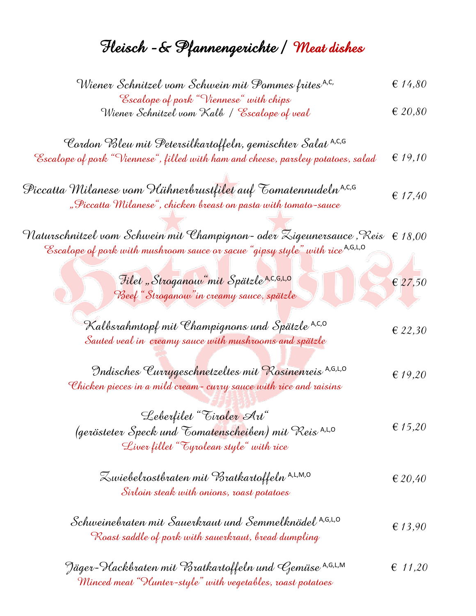## *Fleisch -& Pfannengerichte / Meat dishes*

| Wiener Schnitzel vam Schwein mit Pammes frites <sup>.a,c,</sup>                                                                              | £ 14,80          |
|----------------------------------------------------------------------------------------------------------------------------------------------|------------------|
| Escalope of pork "Viennese" with chips                                                                                                       |                  |
| Wiener Schnitzel vam Kalb / Escalape af veal                                                                                                 | $\in$ 20,80      |
|                                                                                                                                              |                  |
| Cordon Vsleu mit Petersilkartoffeln, gemischter Salat <sup>A,C,G</sup>                                                                       |                  |
| Escalope of pork "Viennese", filled with ham and cheese, parsley potatoes, salad                                                             | £ 19,10          |
| Piccatta Milanese vom Hühnerbrustfilet auf Eomatennudeln <sup>.a,c,c</sup><br>"Piccatta Milanese", chicken breast on pasta with tomato-sauce | £ 17,40          |
|                                                                                                                                              |                  |
| Naturschnitzel vom Schwein mit Champignon- oder Zigeunersauce , Reis- $\in$ 18,00                                                            |                  |
|                                                                                                                                              |                  |
| Escalope of pork with mushroom sauce or sacue "gipsy style" with rice <sup>A,G,L,O</sup>                                                     |                  |
|                                                                                                                                              |                  |
| Filet "Stroganow" mit Spätzle ACGLO                                                                                                          | \$27,50          |
| Beef "Stroganow" in creamy sauce, spätzle                                                                                                    |                  |
|                                                                                                                                              |                  |
| Kalbsrahmtopf mit Champignons und Spätzle <sup>A,C,0</sup>                                                                                   |                  |
| Sauted veal in creamy sauce with mushrooms and spätzle                                                                                       | $\in$ 22,30      |
|                                                                                                                                              |                  |
|                                                                                                                                              |                  |
| Indisches Currygeschnetzeltes mit Rosinenreis A,G,L,0                                                                                        | £ 19,20          |
| Chicken pieces in a mild cream- curry sauce with rice and raisins                                                                            |                  |
|                                                                                                                                              |                  |
| Leberfilet "Tiroler Art"                                                                                                                     |                  |
| (gerösteter Speck und Tomatenscheiben) mit Reis A,L,0                                                                                        | £ 15,20          |
| Liver fillet "Tyrolean style" with rice                                                                                                      |                  |
|                                                                                                                                              |                  |
| Zwiebelrostbraten mit Bratkartoffeln A,L,M,0                                                                                                 |                  |
|                                                                                                                                              | £20,40           |
| Sirloin steak with onions, roast potatoes                                                                                                    |                  |
| Schweinebraten mit Sauerkraut und Semmelknödel A,G,L,O                                                                                       |                  |
|                                                                                                                                              | £ 13,90          |
| Roast saddle of pork with sauerkraut, bread dumpling                                                                                         |                  |
|                                                                                                                                              |                  |
| Jäger-Hackbraten mit Bratkartoffeln und Gemüse <sup>a,6,L,M</sup>                                                                            | $\epsilon$ 11,20 |
| Minced meat "Hunter-style" with vegetables, roast potatoes                                                                                   |                  |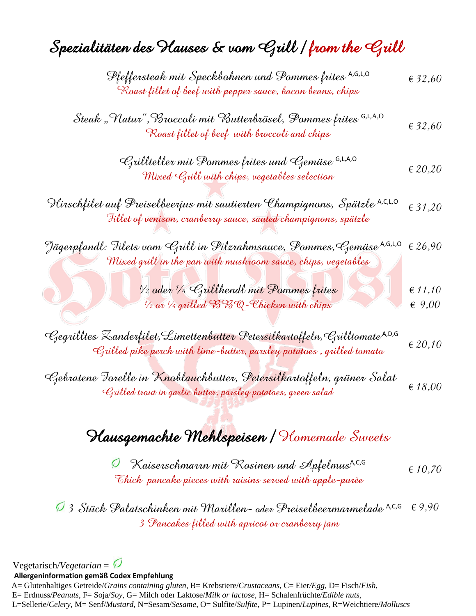*Spezialitäten des Hauses & vom Grill / from the Grill* 

| Pfeffersteak mit Speckbahnen und Pammes frites <sup>A,G,L,0</sup><br>Roast fillet of beef with pepper sauce, bacon beans, chips                                  | 632,60                    |
|------------------------------------------------------------------------------------------------------------------------------------------------------------------|---------------------------|
| Steak "Natur", Broccoli mit Butterbrösel, Pommes frites <sup>6,L,A,O</sup><br>Roast fillet of beef with broccoli and chips                                       | 632,60                    |
| Grillteller mit Pommes frites und Gemüse <sup>6,1,A,0</sup><br>Mixed Grill with chips, vegetables selection                                                      | $\in$ 20,20               |
| Hirschfilet auf Preiselbeerjus mit sautierten Champignons, Spätzle <sup>A,C,L,0</sup><br>Fillet of venison, cranberry sauce, sauted champignons, spätzle         | 631,20                    |
| Jägerpfandl: Filets vom Grill in Pilzrahmsauce, Pommes, Gemüse <sup>A,G,L,0</sup><br>Mixed grill in the pan with mushroom sauce, chips, vegetables               | $\in$ 26,90               |
| ½ ader ½ Grillhendl mit Pammes frites<br>$^{1}\!$ /2 or $^{1}\!$ 4 grilled BBC-Chicken with chips                                                                | $\in$ 11,10<br>$\in$ 9,00 |
| -Gegrilltes Zanderfilet,Limettenbutter Petersilkartoffeln,Grilltomate <sup>A,D,G</sup><br>Grilled pike perch with lime-butter, parsley potatoes , grilled tomato | $\epsilon$ 20,10          |
| Gebratene Forelle in Knoblauchbutter, Petersilkartoffeln, grüner Salat<br>Grilled trout in garlic butter, parsley potatoes, green salad                          | $\in$ 18,00               |
| Hausgemachte Mehlspeisen / Homemade Sweets                                                                                                                       |                           |
| Kaiserschmarın mit Rosinen und Apfelmus <sup>s,c,c</sup><br>Thick pancake pieces with raisins served with apple-purèe                                            | $\epsilon$ 10,70          |

 *3 Stück Palatschinken mit Marillen- oder Preiselbeermarmelade* A,C,G € *9,903 Pancakes filled with apricot or cranberry jam* 

Vegetarisch/*Vegetarian* =

 **Allergeninformation gemäß Codex Empfehlung**

 L=Sellerie/*Celery*, M= Senf/*Mustard*, N=Sesam/*Sesame*, O= Sulfite/*Sulfite*, P= Lupinen/*Lupines*, R=Weichtiere/*Molluscs* A= Glutenhaltiges Getreide/*Grains containing gluten*, B= Krebstiere/*Crustaceans*, C= Eier*/Egg*, D= Fisch/*Fish*, E= Erdnuss/*Peanuts*, F= Soja/*Soy*, G= Milch oder Laktose/*Milk or lactose*, H= Schalenfrüchte/*Edible nuts*,